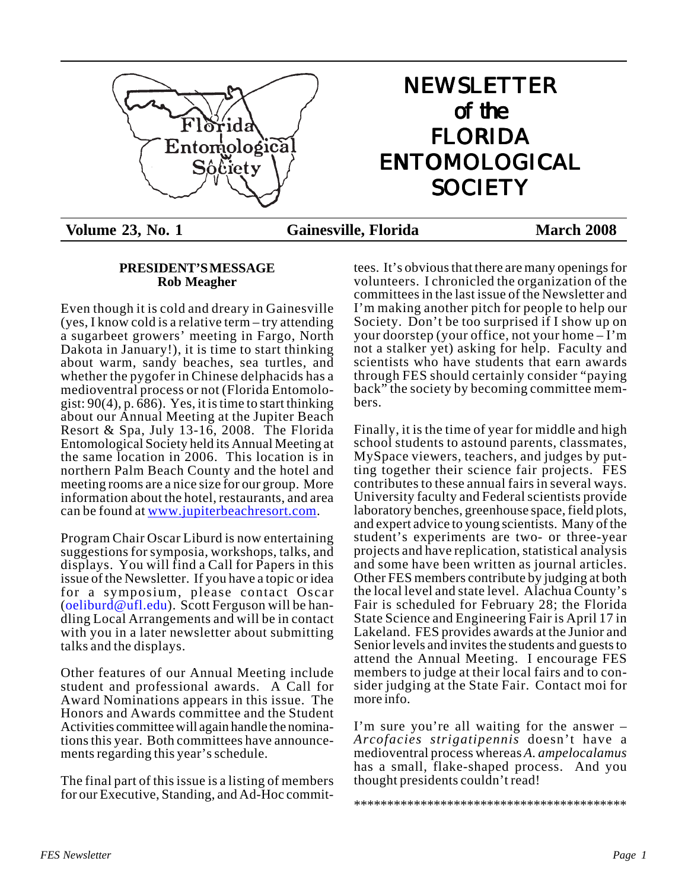

# NEWSLETTER of the FLORIDA ENTOMOLOGICAL **SOCIETY**

**Volume 23, No. 1 Gainesville, Florida March 2008**

### **PRESIDENT'S MESSAGE Rob Meagher**

Even though it is cold and dreary in Gainesville (yes, I know cold is a relative term – try attending a sugarbeet growers' meeting in Fargo, North Dakota in January!), it is time to start thinking about warm, sandy beaches, sea turtles, and whether the pygofer in Chinese delphacids has a medioventral process or not (Florida Entomologist: 90(4), p. 686). Yes, it is time to start thinking about our Annual Meeting at the Jupiter Beach Resort & Spa, July 13-16, 2008. The Florida Entomological Society held its Annual Meeting at the same location in 2006. This location is in northern Palm Beach County and the hotel and meeting rooms are a nice size for our group. More information about the hotel, restaurants, and area can be found at <u>www.jupiterbeachresort.com</u>.

Program Chair Oscar Liburd is now entertaining suggestions for symposia, workshops, talks, and displays. You will find a Call for Papers in this issue of the Newsletter. If you have a topic or idea for a symposium, please contact Oscar (oeliburd@ufl.edu). Scott Ferguson will be handling Local Arrangements and will be in contact with you in a later newsletter about submitting talks and the displays.

Other features of our Annual Meeting include student and professional awards. A Call for Award Nominations appears in this issue. The Honors and Awards committee and the Student Activities committee will again handle the nominations this year. Both committees have announcements regarding this year's schedule.

The final part of this issue is a listing of members for our Executive, Standing, and Ad-Hoc committees. It's obvious that there are many openings for volunteers. I chronicled the organization of the committees in the last issue of the Newsletter and I'm making another pitch for people to help our Society. Don't be too surprised if I show up on your doorstep (your office, not your home – I'm not a stalker yet) asking for help. Faculty and scientists who have students that earn awards through FES should certainly consider "paying back" the society by becoming committee members.

Finally, it is the time of year for middle and high school students to astound parents, classmates, MySpace viewers, teachers, and judges by putting together their science fair projects. FES contributes to these annual fairs in several ways. University faculty and Federal scientists provide laboratory benches, greenhouse space, field plots, and expert advice to young scientists. Many of the student's experiments are two- or three-year projects and have replication, statistical analysis and some have been written as journal articles. Other FES members contribute by judging at both the local level and state level. Alachua County's Fair is scheduled for February 28; the Florida State Science and Engineering Fair is April 17 in Lakeland. FES provides awards at the Junior and Senior levels and invites the students and guests to attend the Annual Meeting. I encourage FES members to judge at their local fairs and to consider judging at the State Fair. Contact moi for more info.

I'm sure you're all waiting for the answer – *Arcofacies strigatipennis* doesn't have a medioventral process whereas *A. ampelocalamus* has a small, flake-shaped process. And you thought presidents couldn't read!

\*\*\*\*\*\*\*\*\*\*\*\*\*\*\*\*\*\*\*\*\*\*\*\*\*\*\*\*\*\*\*\*\*\*\*\*\*\*\*\*\*

*FES Newsletter Page 1*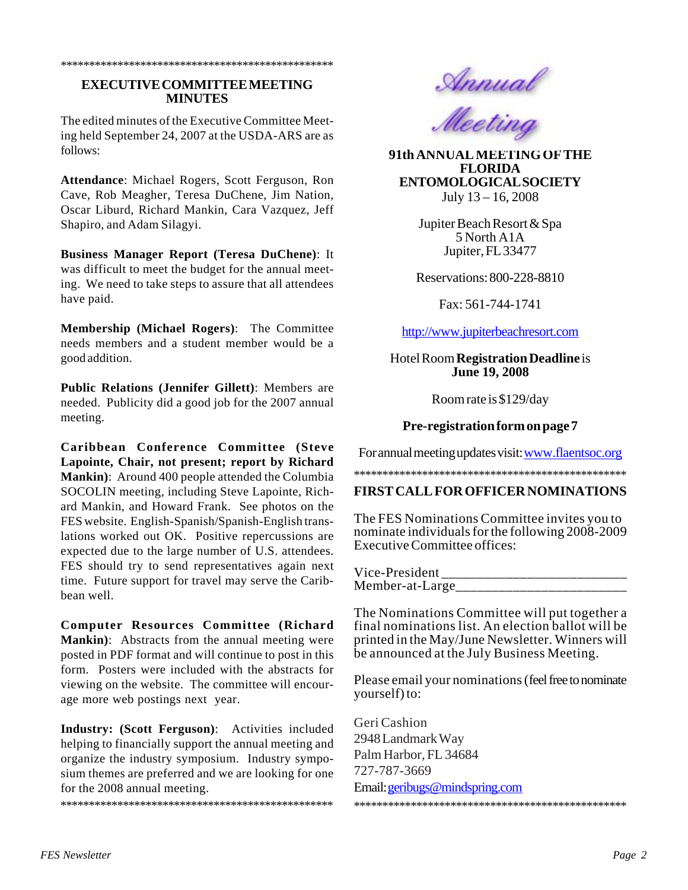### **EXECUTIVE COMMITTEE MEETING MINUTES**

\*\*\*\*\*\*\*\*\*\*\*\*\*\*\*\*\*\*\*\*\*\*\*\*\*\*\*\*\*\*\*\*\*\*\*\*\*\*\*\*\*\*\*\*\*\*\*\*

The edited minutes of the Executive Committee Meeting held September 24, 2007 at the USDA-ARS are as follows:

**Attendance**: Michael Rogers, Scott Ferguson, Ron Cave, Rob Meagher, Teresa DuChene, Jim Nation, Oscar Liburd, Richard Mankin, Cara Vazquez, Jeff Shapiro, and Adam Silagyi.

**Business Manager Report (Teresa DuChene)**: It was difficult to meet the budget for the annual meeting. We need to take steps to assure that all attendees have paid.

**Membership (Michael Rogers)**: The Committee needs members and a student member would be a good addition.

**Public Relations (Jennifer Gillett)**: Members are needed. Publicity did a good job for the 2007 annual meeting.

**Caribbean Conference Committee (Steve Lapointe, Chair, not present; report by Richard Mankin)**: Around 400 people attended the Columbia SOCOLIN meeting, including Steve Lapointe, Richard Mankin, and Howard Frank. See photos on the FES website. English-Spanish/Spanish-English translations worked out OK. Positive repercussions are expected due to the large number of U.S. attendees. FES should try to send representatives again next time. Future support for travel may serve the Caribbean well.

**Computer Resources Committee (Richard Mankin)**: Abstracts from the annual meeting were posted in PDF format and will continue to post in this form. Posters were included with the abstracts for viewing on the website. The committee will encourage more web postings next year.

**Industry: (Scott Ferguson)**: Activities included helping to financially support the annual meeting and organize the industry symposium. Industry symposium themes are preferred and we are looking for one for the 2008 annual meeting.

\*\*\*\*\*\*\*\*\*\*\*\*\*\*\*\*\*\*\*\*\*\*\*\*\*\*\*\*\*\*\*\*\*\*\*\*\*\*\*\*\*\*\*\*\*\*\*\*





July 13 – 16, 2008 **91th ANNUAL MEETING OF THE FLORIDA ENTOMOLOGICAL SOCIETY**

> Jupiter Beach Resort & Spa 5 North A1A Jupiter, FL 33477

Reservations: 800-228-8810

Fax: 561-744-1741

http://www.jupiterbeachresort.com

### Hotel Room **Registration Deadline** is **June 19, 2008**

Room rate is \$129/day

### **Pre-registration form on page 7**

For annual meeting updates visit: www.flaentsoc.org

### \*\*\*\*\*\*\*\*\*\*\*\*\*\*\*\*\*\*\*\*\*\*\*\*\*\*\*\*\*\*\*\*\*\*\*\*\*\*\*\*\*\*\*\*\*\*\*\*

### **FIRST CALL FOR OFFICER NOMINATIONS**

The FES Nominations Committee invites you to nominate individuals for the following 2008-2009 Executive Committee offices:

Vice-President Member-at-Large\_\_\_\_\_\_\_\_\_\_\_\_\_\_\_\_\_\_\_\_\_\_\_\_

The Nominations Committee will put together a final nominations list. An election ballot will be printed in the May/June Newsletter. Winners will be announced at the July Business Meeting.

Please email your nominations (feel free to nominate yourself) to:

Geri Cashion 2948 Landmark Way Palm Harbor, FL 34684 727-787-3669 Email:geribugs@mindspring.com \*\*\*\*\*\*\*\*\*\*\*\*\*\*\*\*\*\*\*\*\*\*\*\*\*\*\*\*\*\*\*\*\*\*\*\*\*\*\*\*\*\*\*\*\*\*\*\*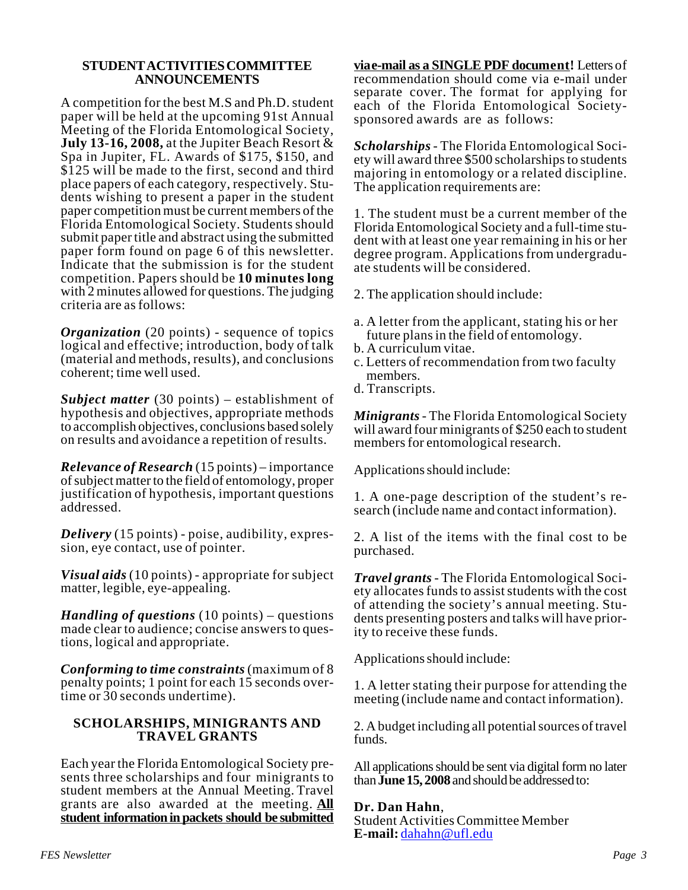### **STUDENT ACTIVITIES COMMITTEE ANNOUNCEMENTS**

A competition for the best M.S and Ph.D. student paper will be held at the upcoming 91st Annual Meeting of the Florida Entomological Society, **July 13-16, 2008,** at the Jupiter Beach Resort & Spa in Jupiter, FL. Awards of \$175, \$150, and \$125 will be made to the first, second and third place papers of each category, respectively. Students wishing to present a paper in the student paper competition must be current members of the Florida Entomological Society. Students should submit paper title and abstract using the submitted paper form found on page 6 of this newsletter. Indicate that the submission is for the student competition. Papers should be **10 minutes long** with 2 minutes allowed for questions. The judging criteria are as follows:

*Organization* (20 points) - sequence of topics logical and effective; introduction, body of talk (material and methods, results), and conclusions coherent; time well used.

*Subject matter* (30 points) – establishment of hypothesis and objectives, appropriate methods to accomplish objectives, conclusions based solely on results and avoidance a repetition of results.

*Relevance of Research* (15 points) – importance of subject matter to the field of entomology, proper justification of hypothesis, important questions addressed.

*Delivery* (15 points) - poise, audibility, expression, eye contact, use of pointer.

*Visual aids* (10 points) - appropriate for subject matter, legible, eye-appealing.

*Handling of questions* (10 points) – questions made clear to audience; concise answers to questions, logical and appropriate.

*Conforming to time constraints* (maximum of 8 penalty points; 1 point for each 15 seconds overtime or 30 seconds undertime).

### **SCHOLARSHIPS, MINIGRANTS AND TRAVEL GRANTS**

Each year the Florida Entomological Society presents three scholarships and four minigrants to student members at the Annual Meeting. Travel grants are also awarded at the meeting. **All student information in packets should be submitted**

**via e-mail as a SINGLE PDF document!** Letters of recommendation should come via e-mail under separate cover. The format for applying for each of the Florida Entomological Societysponsored awards are as follows:

*Scholarships* - The Florida Entomological Society will award three \$500 scholarships to students majoring in entomology or a related discipline. The application requirements are:

1. The student must be a current member of the Florida Entomological Society and a full-time student with at least one year remaining in his or her degree program. Applications from undergraduate students will be considered.

2. The application should include:

- a. A letter from the applicant, stating his or her future plans in the field of entomology.
- b. A curriculum vitae.
- c. Letters of recommendation from two faculty members.
- d. Transcripts.

*Minigrants* - The Florida Entomological Society will award four minigrants of \$250 each to student members for entomological research.

Applications should include:

1. A one-page description of the student's research (include name and contact information).

2. A list of the items with the final cost to be purchased.

*Travel grants* - The Florida Entomological Society allocates funds to assist students with the cost of attending the society's annual meeting. Students presenting posters and talks will have priority to receive these funds.

Applications should include:

1. A letter stating their purpose for attending the meeting (include name and contact information).

2. A budget including all potential sources of travel funds.

All applications should be sent via digital form no later than **June 15, 2008** and should be addressed to:

**Dr. Dan Hahn**, Student Activities Committee Member **E-mail:** dahahn@ufl.edu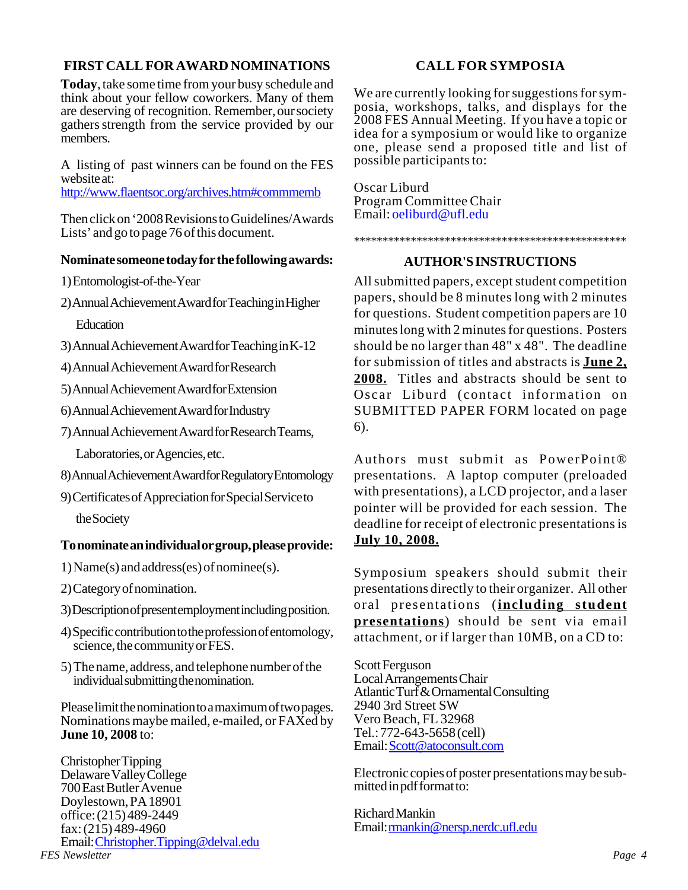### **FIRST CALL FOR AWARD NOMINATIONS**

**Today**, take some time from your busy schedule and think about your fellow coworkers. Many of them are deserving of recognition. Remember, our society gathers strength from the service provided by our members.

A listing of past winners can be found on the FES website at:

http://www.flaentsoc.org/archives.htm#commmemb

Then click on '2008 Revisions to Guidelines/Awards Lists' and go to page 76 of this document.

### **Nominate someone today for the following awards:**

- 1) Entomologist-of-the-Year
- 2) Annual Achievement Award for Teaching in Higher

**Education** 

- 3) Annual Achievement Award for Teaching in K-12
- 4) Annual Achievement Award for Research
- 5) Annual Achievement Award for Extension
- 6) Annual Achievement Award for Industry
- 7) Annual Achievement Award for Research Teams,
	- Laboratories, or Agencies, etc.
- 8) Annual Achievement Award for Regulatory Entomology
- 9) Certificates of Appreciation for Special Service to the Society

### **To nominate an individual or group, please provide:**

- 1) Name(s) and address(es) of nominee(s).
- 2) Category of nomination.
- 3) Description of present employment including position.
- 4) Specific contribution to the profession of entomology, science, the community or FES.
- 5) The name, address, and telephone number of the individual submitting the nomination.

Please limit the nomination to a maximum of two pages. Nominations maybe mailed, e-mailed, or FAXed by **June 10, 2008** to:

*FES Newsletter Page 4* Christopher Tipping Delaware Valley College 700 East Butler Avenue Doylestown, PA 18901 office: (215) 489-2449 fax: (215) 489-4960 Email:Christopher.Tipping@delval.edu

### **CALL FOR SYMPOSIA**

We are currently looking for suggestions for symposia, workshops, talks, and displays for the 2008 FES Annual Meeting. If you have a topic or idea for a symposium or would like to organize one, please send a proposed title and list of possible participants to:

Oscar Liburd Program Committee Chair Email: oeliburd@ufl.edu

\*\*\*\*\*\*\*\*\*\*\*\*\*\*\*\*\*\*\*\*\*\*\*\*\*\*\*\*\*\*\*\*\*\*\*\*\*\*\*\*\*\*\*\*\*\*\*\*

### **AUTHOR'S INSTRUCTIONS**

All submitted papers, except student competition papers, should be 8 minutes long with 2 minutes for questions. Student competition papers are 10 minutes long with 2 minutes for questions. Posters should be no larger than 48" x 48". The deadline for submission of titles and abstracts is **June 2, 2008.** Titles and abstracts should be sent to Oscar Liburd (contact information on SUBMITTED PAPER FORM located on page 6).

Authors must submit as PowerPoint® presentations. A laptop computer (preloaded with presentations), a LCD projector, and a laser pointer will be provided for each session. The deadline for receipt of electronic presentations is **July 10, 2008.**

Symposium speakers should submit their presentations directly to their organizer. All other oral presentations (**including student presentations**) should be sent via email attachment, or if larger than 10MB, on a CD to:

Scott Ferguson Local Arrangements Chair Atlantic Turf & Ornamental Consulting 2940 3rd Street SW Vero Beach, FL 32968 Tel.: 772-643-5658 (cell) Email: Scott@atoconsult.com

Electronic copies of poster presentations may be submitted in pdf format to:

Richard Mankin Email: rmankin@nersp.nerdc.ufl.edu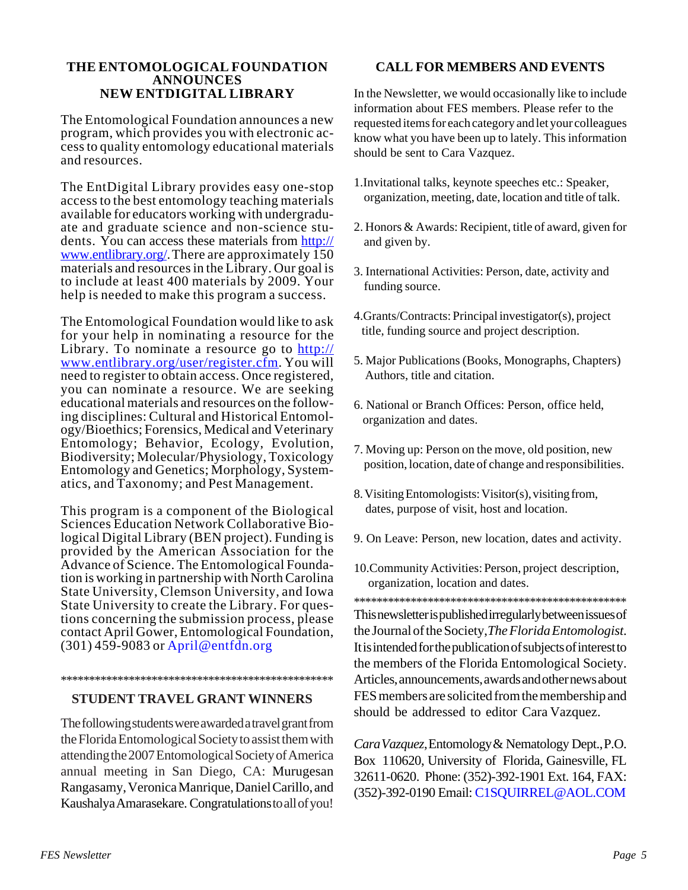## **THE ENTOMOLOGICAL FOUNDATION ANNOUNCES**

The Entomological Foundation announces a new program, which provides you with electronic access to quality entomology educational materials and resources.

The EntDigital Library provides easy one-stop access to the best entomology teaching materials available for educators working with undergraduate and graduate science and non-science students. You can access these materials from http:// www.entlibrary.org/. There are approximately 150 materials and resources in the Library. Our goal is to include at least 400 materials by 2009. Your help is needed to make this program a success.

The Entomological Foundation would like to ask for your help in nominating a resource for the Library. To nominate a resource go to http:// www.entlibrary.org/user/register.cfm. You will need to register to obtain access. Once registered, you can nominate a resource. We are seeking educational materials and resources on the following disciplines: Cultural and Historical Entomology/Bioethics; Forensics, Medical and Veterinary Entomology; Behavior, Ecology, Evolution, Biodiversity; Molecular/Physiology, Toxicology Entomology and Genetics; Morphology, Systematics, and Taxonomy; and Pest Management.

This program is a component of the Biological Sciences Education Network Collaborative Biological Digital Library (BEN project). Funding is provided by the American Association for the Advance of Science. The Entomological Foundation is working in partnership with North Carolina State University, Clemson University, and Iowa State University to create the Library. For questions concerning the submission process, please contact April Gower, Entomological Foundation, (301) 459-9083 or April@entfdn.org

#### \*\*\*\*\*\*\*\*\*\*\*\*\*\*\*\*\*\*\*\*\*\*\*\*\*\*\*\*\*\*\*\*\*\*\*\*\*\*\*\*\*\*\*\*\*\*\*\*

### **STUDENT TRAVEL GRANT WINNERS**

The following students were awarded a travel grant from the Florida Entomological Society to assist them with attending the 2007 Entomological Society of America annual meeting in San Diego, CA: Murugesan Rangasamy, Veronica Manrique, Daniel Carillo, and Kaushalya Amarasekare. Congratulations to all of you!

### **CALL FOR MEMBERS AND EVENTS**

**NEW ENTDIGITAL LIBRARY** In the Newsletter, we would occasionally like to include information about FES members. Please refer to the requested items for each category and let your colleagues know what you have been up to lately. This information should be sent to Cara Vazquez.

- 1.Invitational talks, keynote speeches etc.: Speaker, organization, meeting, date, location and title of talk.
- 2. Honors & Awards: Recipient, title of award, given for and given by.
- 3. International Activities: Person, date, activity and funding source.
- 4.Grants/Contracts: Principal investigator(s), project title, funding source and project description.
- 5. Major Publications (Books, Monographs, Chapters) Authors, title and citation.
- 6. National or Branch Offices: Person, office held, organization and dates.
- 7. Moving up: Person on the move, old position, new position, location, date of change and responsibilities.
- 8. Visiting Entomologists: Visitor(s), visiting from, dates, purpose of visit, host and location.
- 9. On Leave: Person, new location, dates and activity.
- 10.Community Activities: Person, project description, organization, location and dates.

This newsletter is published irregularly between issues of the Journal of the Society,*The Florida Entomologist*. It is intended for the publication of subjects of interest to the members of the Florida Entomological Society. Articles, announcements, awards and other news about FES members are solicited from the membership and should be addressed to editor Cara Vazquez. \*\*\*\*\*\*\*\*\*\*\*\*\*\*\*\*\*\*\*\*\*\*\*\*\*\*\*\*\*\*\*\*\*\*\*\*\*\*\*\*\*\*\*\*\*\*\*\*

*Cara Vazquez*, Entomology & Nematology Dept., P.O. Box 110620, University of Florida, Gainesville, FL 32611-0620. Phone: (352)-392-1901 Ext. 164, FAX: (352)-392-0190 Email: C1SQUIRREL@AOL.COM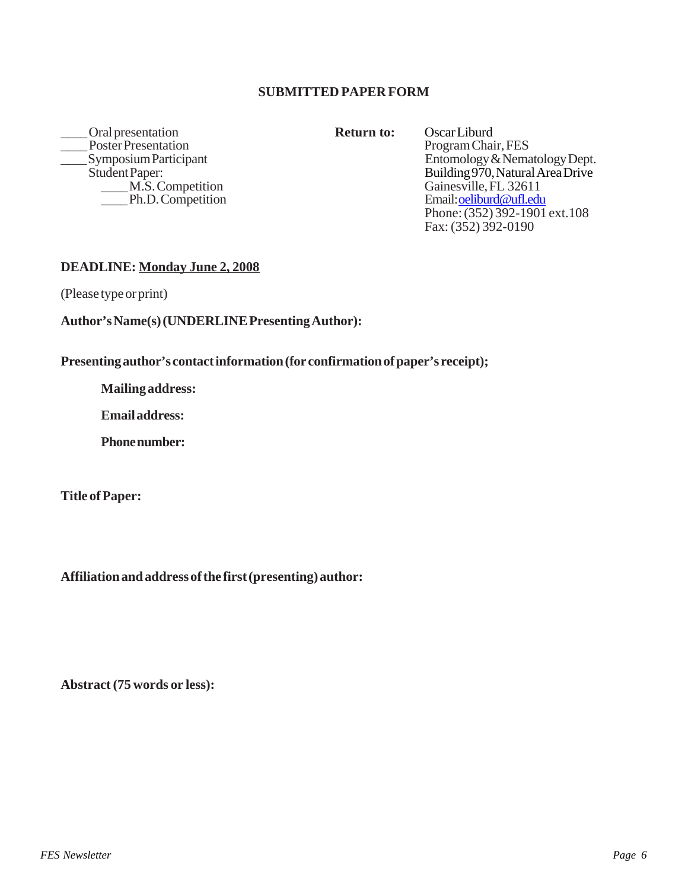### **SUBMITTED PAPER FORM**

Poral presentation<br>
Poster Presentation<br>
Poster Presentation<br>
Return to: Oscar Liburd<br>
Program Chair, FES \_Poster Presentation<br>Symposium Participant \_\_\_\_ Ph.D. Competition

Symposium Participant Entomology & Nematology Dept.<br>
Student Paper: Building 970, Natural Area Drive ent Paper:<br>
M.S. Competition<br>
M.S. Competition<br>
Stainesville, FL 32611 Gainesville, FL 32611<br>Email: oeliburd@ufl.edu Phone: (352) 392-1901 ext.108 Fax: (352) 392-0190

### **DEADLINE: Monday June 2, 2008**

(Please type or print)

### **Author's Name(s) (UNDERLINE Presenting Author):**

**Presenting author's contact information (for confirmation of paper's receipt);**

**Mailing address:**

**Email address:**

**Phone number:**

**Title of Paper:**

**Affiliation and address of the first (presenting) author:**

**Abstract (75 words or less):**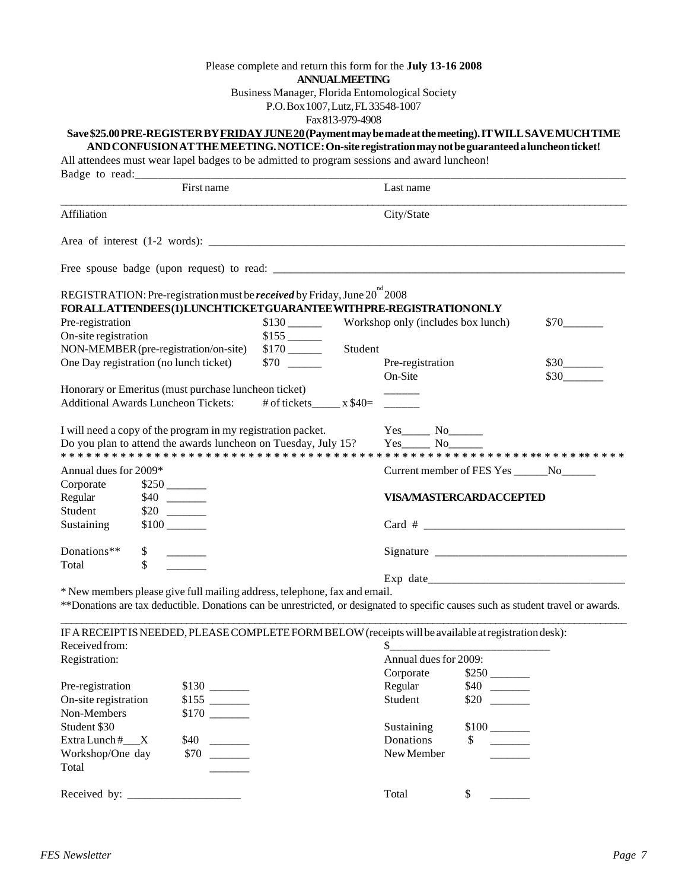### Please complete and return this form for the **July 13-16 2008**

Business Manager, Florida Entomological Society

P.O. Box 1007, Lutz, FL 33548-1007

Fax 813-979-4908

### **Save \$25.00 PRE-REGISTER BY FRIDAY JUNE 20 (Payment may be made at the meeting). IT WILL SAVE MUCH TIME**

**AND CONFUSION AT THE MEETING. NOTICE: On-site registration may not be guaranteed a luncheon ticket!**

All attendees must wear lapel badges to be admitted to program sessions and award luncheon!

| Badge to read:                                               |                                                                                                                                                                |                       |         |                                             |                                |      |  |
|--------------------------------------------------------------|----------------------------------------------------------------------------------------------------------------------------------------------------------------|-----------------------|---------|---------------------------------------------|--------------------------------|------|--|
| First name                                                   |                                                                                                                                                                |                       |         | Last name                                   |                                |      |  |
| Affiliation                                                  |                                                                                                                                                                |                       |         | City/State                                  |                                |      |  |
|                                                              |                                                                                                                                                                |                       |         |                                             |                                |      |  |
|                                                              |                                                                                                                                                                |                       |         |                                             |                                |      |  |
|                                                              | REGISTRATION: Pre-registration must be <i>received</i> by Friday, June 20 <sup>nd</sup> 2008<br>FORALLATTENDEES(1)LUNCHTICKETGUARANTEEWITHPRE-REGISTRATIONONLY |                       |         |                                             |                                |      |  |
| Pre-registration                                             |                                                                                                                                                                |                       |         |                                             |                                | \$70 |  |
| On-site registration<br>$$155$ <sub>----</sub>               |                                                                                                                                                                |                       |         |                                             |                                |      |  |
|                                                              | NON-MEMBER (pre-registration/on-site)                                                                                                                          |                       | Student |                                             |                                |      |  |
| One Day registration (no lunch ticket)                       |                                                                                                                                                                |                       |         | Pre-registration                            |                                | \$30 |  |
|                                                              |                                                                                                                                                                |                       |         | On-Site                                     |                                | \$30 |  |
|                                                              | Honorary or Emeritus (must purchase luncheon ticket)                                                                                                           |                       |         |                                             |                                |      |  |
|                                                              | <b>Additional Awards Luncheon Tickets:</b>                                                                                                                     | # of tickets $x $40=$ |         |                                             |                                |      |  |
| I will need a copy of the program in my registration packet. |                                                                                                                                                                |                       |         | $Yes$ No $No$                               |                                |      |  |
|                                                              | Do you plan to attend the awards luncheon on Tuesday, July 15?                                                                                                 |                       |         | $Yes$ No                                    |                                |      |  |
| Annual dues for 2009*                                        |                                                                                                                                                                |                       |         | Current member of FES Yes _______ No_______ |                                |      |  |
| Corporate                                                    |                                                                                                                                                                |                       |         |                                             |                                |      |  |
| Regular                                                      |                                                                                                                                                                |                       |         |                                             | <b>VISA/MASTERCARDACCEPTED</b> |      |  |
| Student                                                      |                                                                                                                                                                |                       |         |                                             |                                |      |  |
| Sustaining                                                   |                                                                                                                                                                |                       |         | $Card$ #                                    |                                |      |  |
| Donations**                                                  | \$                                                                                                                                                             |                       |         |                                             |                                |      |  |
| Total                                                        | $\mathbf{\hat{S}}$                                                                                                                                             |                       |         |                                             |                                |      |  |
|                                                              | * New members please give full mailing address, telephone, fax and email.                                                                                      |                       |         |                                             |                                |      |  |
|                                                              | ** Donations are tax deductible. Donations can be unrestricted, or designated to specific causes such as student travel or awards.                             |                       |         |                                             |                                |      |  |
|                                                              | IF A RECEIPT IS NEEDED, PLEASE COMPLETE FORM BELOW (receipts will be available at registration desk):                                                          |                       |         |                                             |                                |      |  |
| Received from:                                               |                                                                                                                                                                |                       |         |                                             |                                |      |  |
| Registration:                                                |                                                                                                                                                                |                       |         | Annual dues for 2009:                       |                                |      |  |
|                                                              |                                                                                                                                                                |                       |         |                                             |                                |      |  |
| Pre-registration                                             |                                                                                                                                                                |                       |         | Regular                                     | \$40                           |      |  |
| On-site registration                                         |                                                                                                                                                                |                       |         | Student                                     | \$20                           |      |  |
| Non-Members                                                  |                                                                                                                                                                |                       |         |                                             |                                |      |  |
| Student \$30                                                 |                                                                                                                                                                |                       |         | Sustaining                                  |                                |      |  |
| Extra Lunch #___X                                            | \$40                                                                                                                                                           |                       |         | Donations                                   | \$                             |      |  |
| Workshop/One day                                             | \$70                                                                                                                                                           |                       |         | New Member                                  |                                |      |  |
| Total                                                        |                                                                                                                                                                |                       |         |                                             |                                |      |  |
|                                                              |                                                                                                                                                                |                       |         |                                             |                                |      |  |

Received by: \_\_\_\_\_\_\_\_\_\_\_\_\_\_\_\_\_\_\_\_ Total \$ \_\_\_\_\_\_\_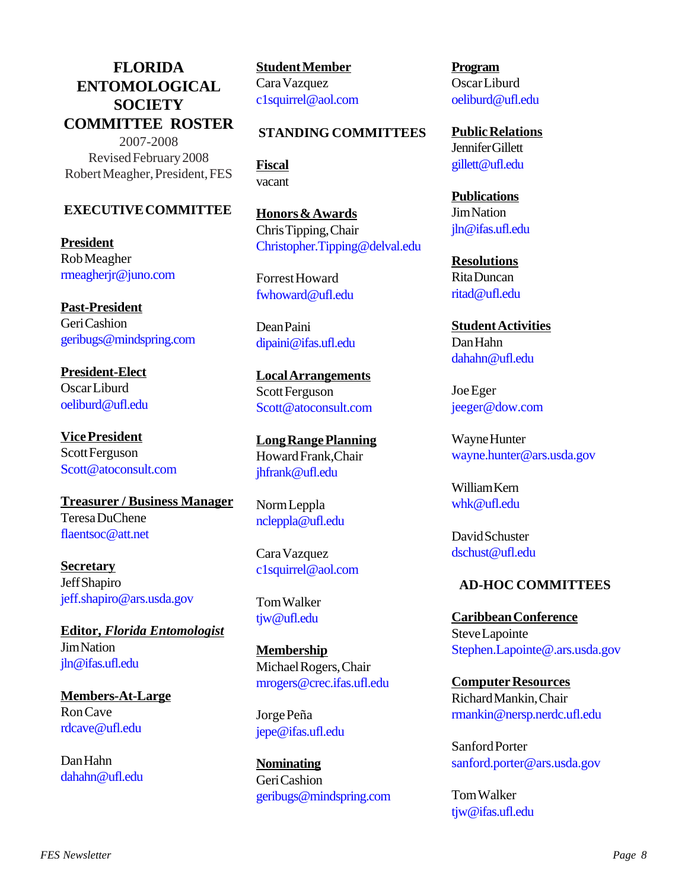### **FLORIDA ENTOMOLOGICAL SOCIETY COMMITTEE ROSTER** 2007-2008

Revised February 2008 Robert Meagher, President, FES

### **EXECUTIVE COMMITTEE**

**President** Rob Meagher rmeagherjr@juno.com

**Past-President** Geri Cashion geribugs@mindspring.com

**President-Elect** Oscar Liburd oeliburd@ufl.edu

**Vice President** Scott Ferguson Scott@atoconsult.com

**Treasurer / Business Manager** Teresa DuChene flaentsoc@att.net

**Secretary** Jeff Shapiro jeff.shapiro@ars.usda.gov

**Editor,** *Florida Entomologist* Jim Nation jln@ifas.ufl.edu

**Members-At-Large** Ron Cave rdcave@ufl.edu

Dan Hahn dahahn@ufl.edu **Student Member** Cara Vazquez c1squirrel@aol.com

### **STANDING COMMITTEES**

**Fiscal** vacant

**Honors & Awards** Chris Tipping, Chair Christopher.Tipping@delval.edu

Forrest Howard fwhoward@ufl.edu

Dean Paini dipaini@ifas.ufl.edu

**Local Arrangements** Scott Ferguson Scott@atoconsult.com

**Long Range Planning** Howard Frank,Chair jhfrank@ufl.edu

Norm Leppla ncleppla@ufl.edu

Cara Vazquez c1squirrel@aol.com

Tom Walker tjw@ufl.edu

**Membership** Michael Rogers, Chair mrogers@crec.ifas.ufl.edu

Jorge Peña jepe@ifas.ufl.edu

**Nominating** Geri Cashion geribugs@mindspring.com **Program** Oscar Liburd oeliburd@ufl.edu

**Public Relations** Jennifer Gillett gillett@ufl.edu

**Publications** Jim Nation jln@ifas.ufl.edu

**Resolutions** Rita Duncan ritad@ufl.edu

**Student Activities** Dan Hahn dahahn@ufl.edu

Joe Eger jeeger@dow.com

Wayne Hunter wayne.hunter@ars.usda.gov

William Kern whk@ufl.edu

David Schuster dschust@ufl.edu

### **AD-HOC COMMITTEES**

**Caribbean Conference** Steve Lapointe Stephen.Lapointe@.ars.usda.gov

**Computer Resources** Richard Mankin, Chair rmankin@nersp.nerdc.ufl.edu

Sanford Porter sanford.porter@ars.usda.gov

Tom Walker tjw@ifas.ufl.edu